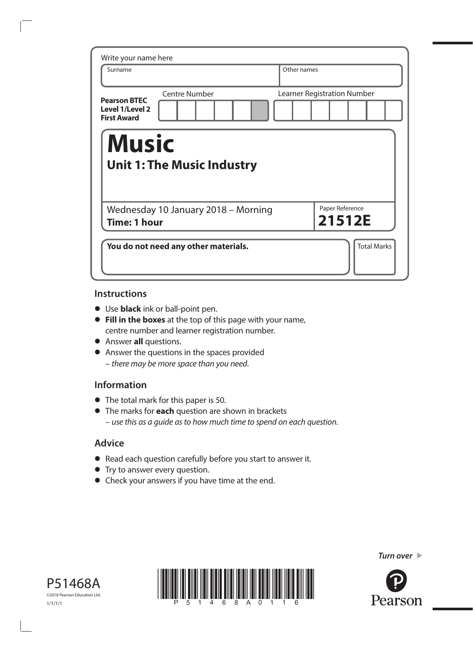| Write your name here                                         |                                     |                             |
|--------------------------------------------------------------|-------------------------------------|-----------------------------|
| Surname                                                      |                                     | Other names                 |
| <b>Pearson BTEC</b><br>Level 1/Level 2<br><b>First Award</b> | <b>Centre Number</b>                | Learner Registration Number |
| <b>Music</b>                                                 | <b>Unit 1: The Music Industry</b>   |                             |
| <b>Time: 1 hour</b>                                          | Wednesday 10 January 2018 - Morning | Paper Reference<br>21512E   |
|                                                              |                                     |                             |

## **Instructions**

- **•** Use **black** ink or ball-point pen.
- **• Fill in the boxes** at the top of this page with your name, centre number and learner registration number.
- **•** Answer **all** questions.
- **•** Answer the questions in the spaces provided – *there may be more space than you need*.

## **Information**

- **•** The total mark for this paper is 50.
- **•** The marks for **each** question are shown in brackets – *use this as a guide as to how much time to spend on each question*.

## **Advice**

- **•** Read each question carefully before you start to answer it.
- **•** Try to answer every question.
- **•** Check your answers if you have time at the end.





*Turn over* 

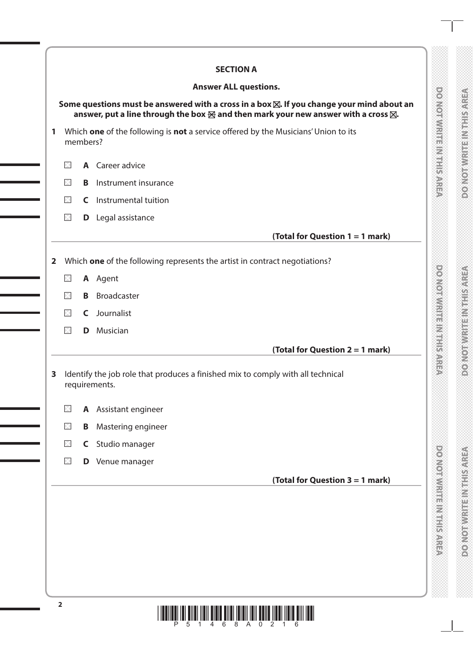|                                      |  |   |   | ď |   |  |
|--------------------------------------|--|---|---|---|---|--|
|                                      |  |   |   |   |   |  |
|                                      |  |   |   |   |   |  |
|                                      |  |   |   |   |   |  |
|                                      |  | Ļ |   |   |   |  |
|                                      |  |   |   |   |   |  |
|                                      |  |   |   |   |   |  |
|                                      |  |   | Ō |   |   |  |
|                                      |  |   |   |   |   |  |
|                                      |  |   |   |   |   |  |
|                                      |  |   |   |   |   |  |
|                                      |  |   |   |   |   |  |
|                                      |  |   |   |   |   |  |
|                                      |  |   |   |   |   |  |
|                                      |  |   |   |   |   |  |
|                                      |  |   |   |   |   |  |
|                                      |  |   |   |   |   |  |
|                                      |  |   |   |   |   |  |
|                                      |  | Í |   |   |   |  |
|                                      |  |   |   |   |   |  |
|                                      |  |   |   |   |   |  |
|                                      |  |   |   |   |   |  |
|                                      |  |   |   |   |   |  |
|                                      |  |   |   |   |   |  |
|                                      |  |   |   |   |   |  |
|                                      |  |   |   |   |   |  |
|                                      |  |   |   |   |   |  |
|                                      |  |   |   |   |   |  |
|                                      |  | é |   |   | ¥ |  |
|                                      |  |   |   |   |   |  |
|                                      |  |   |   |   |   |  |
|                                      |  |   |   |   |   |  |
|                                      |  |   |   |   |   |  |
|                                      |  |   |   |   |   |  |
|                                      |  |   |   |   |   |  |
|                                      |  |   |   |   |   |  |
|                                      |  |   |   |   |   |  |
|                                      |  |   |   |   |   |  |
|                                      |  |   |   |   |   |  |
|                                      |  |   | ã |   |   |  |
|                                      |  |   |   |   |   |  |
|                                      |  |   |   |   |   |  |
|                                      |  |   |   |   |   |  |
|                                      |  |   |   |   |   |  |
|                                      |  | ě |   |   |   |  |
|                                      |  |   |   |   |   |  |
|                                      |  |   |   |   |   |  |
|                                      |  |   |   |   |   |  |
|                                      |  |   |   |   |   |  |
|                                      |  |   |   |   |   |  |
|                                      |  |   |   |   |   |  |
|                                      |  |   |   |   |   |  |
|                                      |  |   |   |   |   |  |
|                                      |  |   |   |   |   |  |
|                                      |  |   |   |   | í |  |
| こくく へくへく くくくく くくくくくくくくくくくくくくくくくくくくくく |  |   |   |   |   |  |
|                                      |  |   |   |   |   |  |
|                                      |  |   |   |   |   |  |
|                                      |  |   |   |   |   |  |
|                                      |  |   |   |   |   |  |
|                                      |  |   | Ç |   |   |  |
| へへへへく                                |  |   | è |   |   |  |

**DOMOROM SERVICE STATE** 

**DOMORATION** STATES

**Designation of the state of School** 

# **SECTION A**

#### **Answer ALL questions.**

Some questions must be answered with a cross in a box  $\boxtimes$ . If you change your mind about an answer, put a line through the box  $\boxtimes$  and then mark your new answer with a cross  $\boxtimes$ .

- **1** Which **one** of the following is **not** a service offered by the Musicians' Union to its members?
	- $\mathbb{R}$ **A** Career advice
	- $\boxtimes$ **B** Instrument insurance
	- $\times$ **C** Instrumental tuition
	- $\times$ **D** Legal assistance

#### **(Total for Question 1 = 1 mark)**

- **2** Which **one** of the following represents the artist in contract negotiations?
	- $\boxtimes$ **A** Agent
	- $\boxtimes$ **B** Broadcaster
	- $\mathbb{X}$ **C** Journalist
	- $\boxtimes$ **D** Musician

## **(Total for Question 2 = 1 mark)**

- **3** Identify the job role that produces a finished mix to comply with all technical requirements.
	- $\boxtimes$ **A** Assistant engineer
	- $\boxtimes$ **B** Mastering engineer
	- $\boxtimes$ **C** Studio manager
	- $\boxtimes$ **D** Venue manager

## **(Total for Question 3 = 1 mark)**

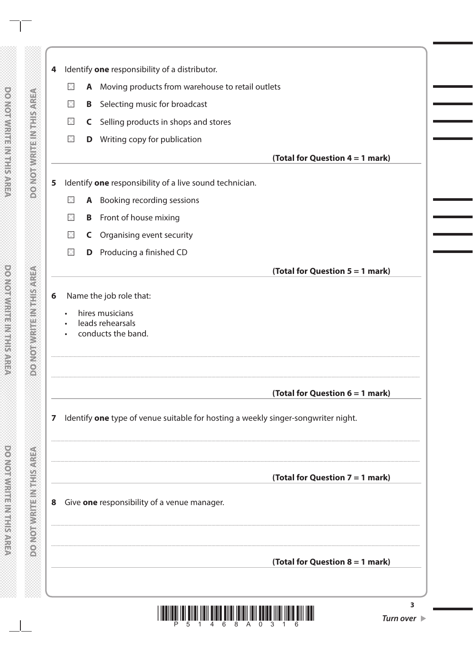

DOMOINMENTENTISYKER

**DONOINNRE NATH SARE!** 

**DOMOTIVIRIE: INTERNER:** 

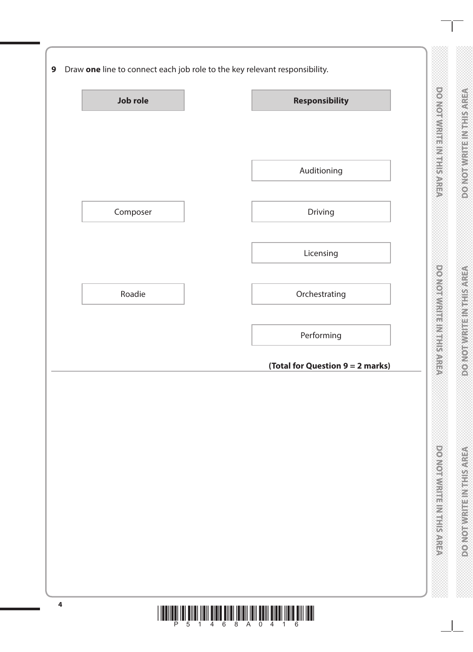| Job role | <b>Responsibility</b>            |
|----------|----------------------------------|
|          |                                  |
|          | Auditioning                      |
| Composer | Driving                          |
|          | Licensing                        |
| Roadie   | Orchestrating                    |
|          | Performing                       |
|          | (Total for Question 9 = 2 marks) |
|          |                                  |
|          |                                  |
|          |                                  |
|          |                                  |
|          |                                  |
|          |                                  |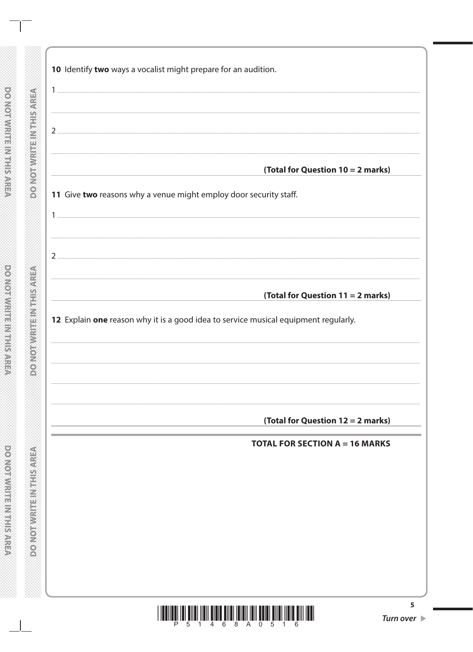|   | (Total for Question 10 = 2 marks)<br>11 Give two reasons why a venue might employ door security staff. |
|---|--------------------------------------------------------------------------------------------------------|
| 1 |                                                                                                        |
| 2 |                                                                                                        |
|   |                                                                                                        |
|   | (Total for Question 11 = 2 marks)                                                                      |
|   |                                                                                                        |
|   | (Total for Question 12 = 2 marks)                                                                      |
|   | <b>TOTAL FOR SECTION A = 16 MARKS</b>                                                                  |
|   |                                                                                                        |
|   |                                                                                                        |
|   |                                                                                                        |
|   |                                                                                                        |
|   |                                                                                                        |

**DO NOT WRITEINITHIS AREA** 

 $\blacksquare$ 

**DOMOTWRITE IN THIS AREA**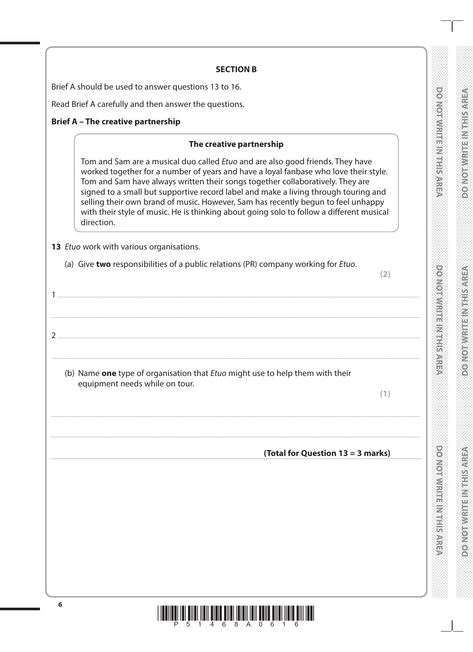| <b>SECTION B</b><br>Brief A should be used to answer questions 13 to 16.                                                                                                                                                                                                                                                                                                                                                                                                                                                                              |                        |                                  |
|-------------------------------------------------------------------------------------------------------------------------------------------------------------------------------------------------------------------------------------------------------------------------------------------------------------------------------------------------------------------------------------------------------------------------------------------------------------------------------------------------------------------------------------------------------|------------------------|----------------------------------|
| Read Brief A carefully and then answer the questions.                                                                                                                                                                                                                                                                                                                                                                                                                                                                                                 |                        |                                  |
| <b>Brief A - The creative partnership</b>                                                                                                                                                                                                                                                                                                                                                                                                                                                                                                             | MON                    |                                  |
| The creative partnership                                                                                                                                                                                                                                                                                                                                                                                                                                                                                                                              |                        |                                  |
| Tom and Sam are a musical duo called <i>Etuo</i> and are also good friends. They have<br>worked together for a number of years and have a loyal fanbase who love their style.<br>Tom and Sam have always written their songs together collaboratively. They are<br>signed to a small but supportive record label and make a living through touring and<br>selling their own brand of music. However, Sam has recently begun to feel unhappy<br>with their style of music. He is thinking about going solo to follow a different musical<br>direction. |                        |                                  |
| 13 Etuo work with various organisations.                                                                                                                                                                                                                                                                                                                                                                                                                                                                                                              |                        |                                  |
| (a) Give two responsibilities of a public relations (PR) company working for <i>Etuo</i> .<br>(2)                                                                                                                                                                                                                                                                                                                                                                                                                                                     | <b>Norwhere</b>        |                                  |
| (b) Name one type of organisation that <i>Etuo</i> might use to help them with their<br>equipment needs while on tour.<br>(1)                                                                                                                                                                                                                                                                                                                                                                                                                         |                        |                                  |
| (Total for Question 13 = 3 marks)                                                                                                                                                                                                                                                                                                                                                                                                                                                                                                                     | <b>DOCTOR WIRESTON</b> |                                  |
|                                                                                                                                                                                                                                                                                                                                                                                                                                                                                                                                                       |                        | <b>PORTO TRIVIAL ENVIRONMENT</b> |
| 6                                                                                                                                                                                                                                                                                                                                                                                                                                                                                                                                                     |                        |                                  |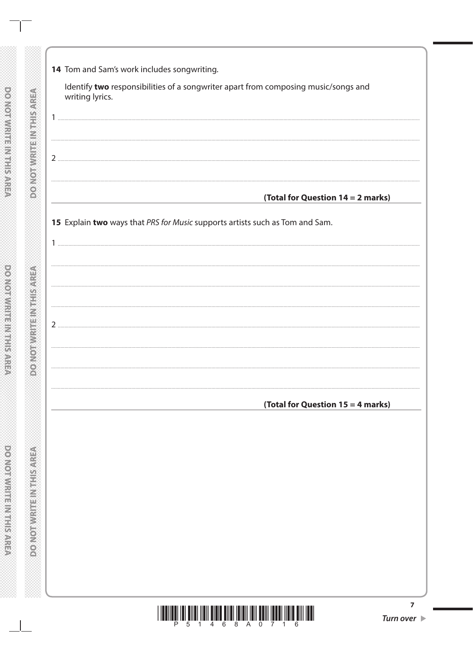| writing lyrics. | Identify two responsibilities of a songwriter apart from composing music/songs and |
|-----------------|------------------------------------------------------------------------------------|
|                 |                                                                                    |
|                 |                                                                                    |
|                 |                                                                                    |
|                 |                                                                                    |
|                 | (Total for Question 14 = 2 marks)                                                  |
|                 | 15 Explain two ways that PRS for Music supports artists such as Tom and Sam.       |
|                 |                                                                                    |
|                 |                                                                                    |
|                 |                                                                                    |
|                 |                                                                                    |
|                 |                                                                                    |
|                 |                                                                                    |
|                 |                                                                                    |
|                 | (Total for Question 15 = 4 marks)                                                  |
|                 |                                                                                    |
|                 |                                                                                    |
|                 |                                                                                    |
|                 |                                                                                    |
|                 |                                                                                    |
|                 |                                                                                    |
|                 |                                                                                    |
|                 |                                                                                    |

**DOMOTIVE INTERNATION** 

**DONOTWRITEINTHISAREA** 

 $\mathbb{R}^n$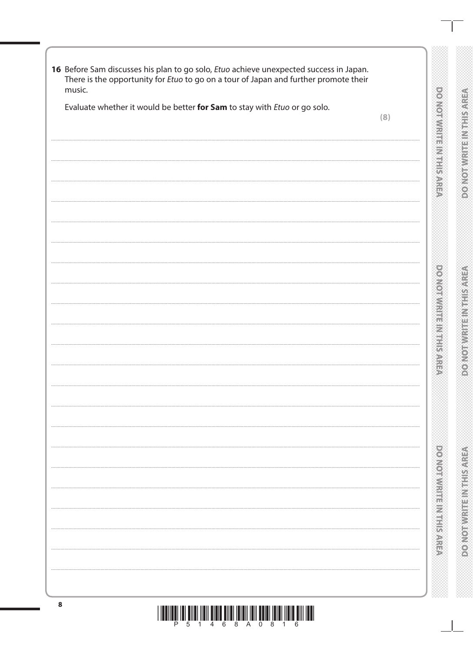| 16 Before Sam discusses his plan to go solo, Etuo achieve unexpected success in Japan.<br>There is the opportunity for Etuo to go on a tour of Japan and further promote their<br>music. |     |                                 |                                    |
|------------------------------------------------------------------------------------------------------------------------------------------------------------------------------------------|-----|---------------------------------|------------------------------------|
| Evaluate whether it would be better for Sam to stay with Etuo or go solo.                                                                                                                | (8) |                                 |                                    |
|                                                                                                                                                                                          |     |                                 |                                    |
|                                                                                                                                                                                          |     | <b>SOURCE BUILDING</b>          |                                    |
|                                                                                                                                                                                          |     | <b>DOCTOR IN STRE</b><br>SI BAT | <b>REPARED A MARINE CONTROLLED</b> |
| 8                                                                                                                                                                                        |     |                                 |                                    |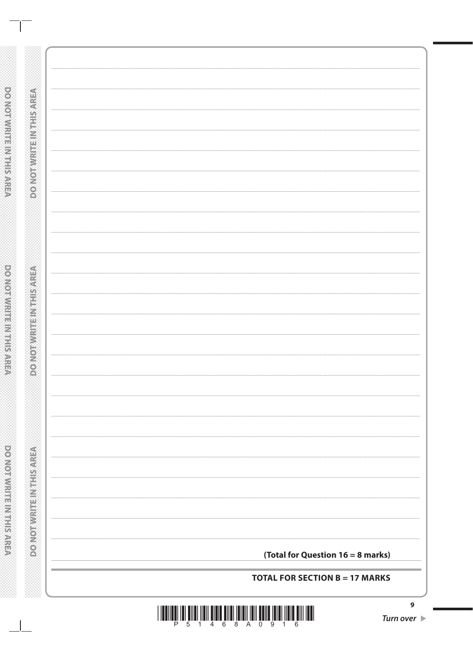$\overline{\phantom{a}}$ 

 $\Box$ 

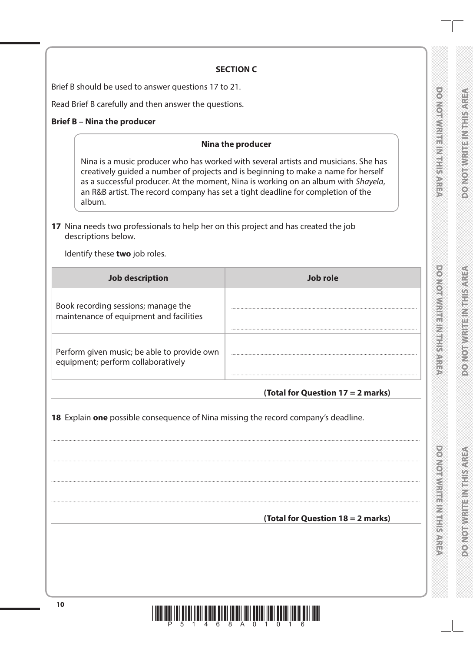|                                                                                                                                             | <b>SECTION C</b>                                                                                                                                                                                                                                                                                                                                                                 |
|---------------------------------------------------------------------------------------------------------------------------------------------|----------------------------------------------------------------------------------------------------------------------------------------------------------------------------------------------------------------------------------------------------------------------------------------------------------------------------------------------------------------------------------|
| Brief B should be used to answer questions 17 to 21.                                                                                        |                                                                                                                                                                                                                                                                                                                                                                                  |
| Read Brief B carefully and then answer the questions.                                                                                       |                                                                                                                                                                                                                                                                                                                                                                                  |
| <b>Brief B - Nina the producer</b>                                                                                                          |                                                                                                                                                                                                                                                                                                                                                                                  |
|                                                                                                                                             | Nina the producer                                                                                                                                                                                                                                                                                                                                                                |
| album.                                                                                                                                      | <b>DOMORAMENT REPORTS</b><br>Nina is a music producer who has worked with several artists and musicians. She has<br>creatively guided a number of projects and is beginning to make a name for herself<br>as a successful producer. At the moment, Nina is working on an album with Shayela,<br>an R&B artist. The record company has set a tight deadline for completion of the |
| 17 Nina needs two professionals to help her on this project and has created the job<br>descriptions below.<br>Identify these two job roles. |                                                                                                                                                                                                                                                                                                                                                                                  |
| <b>Job description</b>                                                                                                                      | <b>Job role</b>                                                                                                                                                                                                                                                                                                                                                                  |
| Book recording sessions; manage the<br>maintenance of equipment and facilities                                                              | <b>DOMONTHER METHODS</b>                                                                                                                                                                                                                                                                                                                                                         |
| Perform given music; be able to provide own<br>equipment; perform collaboratively                                                           |                                                                                                                                                                                                                                                                                                                                                                                  |
|                                                                                                                                             | (Total for Question 17 = 2 marks)                                                                                                                                                                                                                                                                                                                                                |
| 18 Explain one possible consequence of Nina missing the record company's deadline.                                                          | <b>DOMOTOMRHENNERSARE</b>                                                                                                                                                                                                                                                                                                                                                        |
|                                                                                                                                             | (Total for Question 18 = 2 marks)                                                                                                                                                                                                                                                                                                                                                |
| 10                                                                                                                                          |                                                                                                                                                                                                                                                                                                                                                                                  |
|                                                                                                                                             |                                                                                                                                                                                                                                                                                                                                                                                  |

**PONOTWRITEINTEISAREA** 

**PONOTWERFINITIS AREA** 

**PO NOT WRITE INTHIS AREA**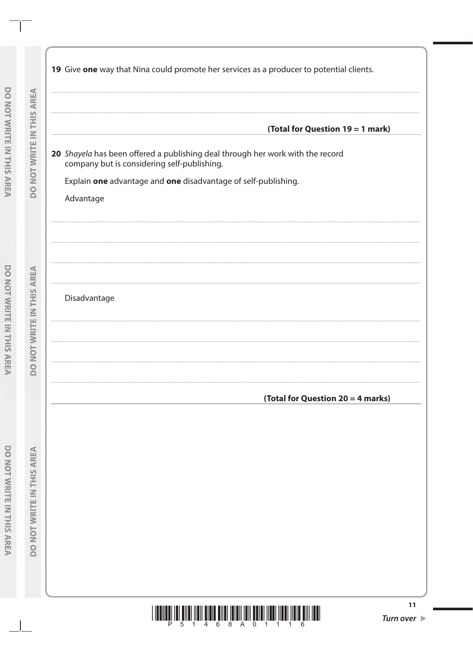**DONOTWRITEINTHISAREA** 

**DO NOTWRITEINITS AREA** 

| ý      |  |
|--------|--|
|        |  |
| ï      |  |
|        |  |
| í      |  |
|        |  |
| S      |  |
| ý      |  |
|        |  |
| í      |  |
|        |  |
| 5      |  |
| ۹      |  |
|        |  |
| í      |  |
|        |  |
| ś      |  |
|        |  |
| Ş      |  |
|        |  |
| 5      |  |
| ş      |  |
|        |  |
| S      |  |
| Ì      |  |
| Ş      |  |
|        |  |
| S      |  |
| S      |  |
|        |  |
| 8      |  |
|        |  |
| j      |  |
|        |  |
|        |  |
| í      |  |
|        |  |
| j      |  |
|        |  |
| ١      |  |
| ź      |  |
|        |  |
| j      |  |
| Í      |  |
| ş      |  |
|        |  |
| š      |  |
|        |  |
| j      |  |
| ţ<br>ý |  |
|        |  |
| í      |  |
|        |  |
| í      |  |
| ۹      |  |
|        |  |
| ś      |  |
|        |  |
| ١      |  |
| š      |  |
|        |  |
| ý      |  |
|        |  |
|        |  |
|        |  |
| ž      |  |
|        |  |
| S      |  |
| l<br>S |  |
|        |  |
| S      |  |

**DO NOT WRITE IN THIS AREA** 

| 19 Give one way that Nina could promote her services as a producer to potential clients.                                      |                  |
|-------------------------------------------------------------------------------------------------------------------------------|------------------|
| (Total for Question 19 = 1 mark)                                                                                              |                  |
| 20 Shayela has been offered a publishing deal through her work with the record<br>company but is considering self-publishing. |                  |
| Explain one advantage and one disadvantage of self-publishing.<br>Advantage                                                   |                  |
|                                                                                                                               |                  |
| Disadvantage                                                                                                                  |                  |
|                                                                                                                               |                  |
|                                                                                                                               |                  |
| (Total for Question 20 = 4 marks)                                                                                             |                  |
|                                                                                                                               |                  |
|                                                                                                                               |                  |
|                                                                                                                               |                  |
|                                                                                                                               | <b>Turn over</b> |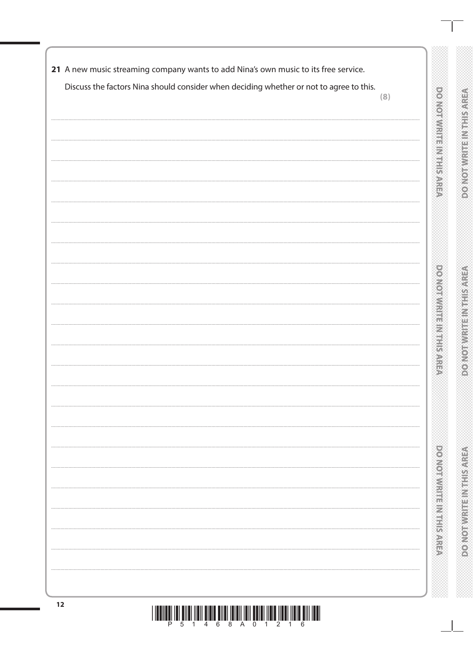21 A new music streaming company wants to add Nina's own music to its free service. Discuss the factors Nina should consider when deciding whether or not to agree to this.

**DO NOTIVERED NITHSARE** 

**DOMORATION IN ENGINEER** 

**DOMORWATER MARSHOOD** 

| <b>PONORMAN EXPERIMENTAL</b><br><b>DOMOTIVE RENNER IS AREA</b> |
|----------------------------------------------------------------|
|                                                                |
|                                                                |
|                                                                |
|                                                                |
|                                                                |
|                                                                |
|                                                                |
|                                                                |
|                                                                |
|                                                                |
|                                                                |
| <b><i><u>PERSONAL PROPERTY</u></i></b>                         |
|                                                                |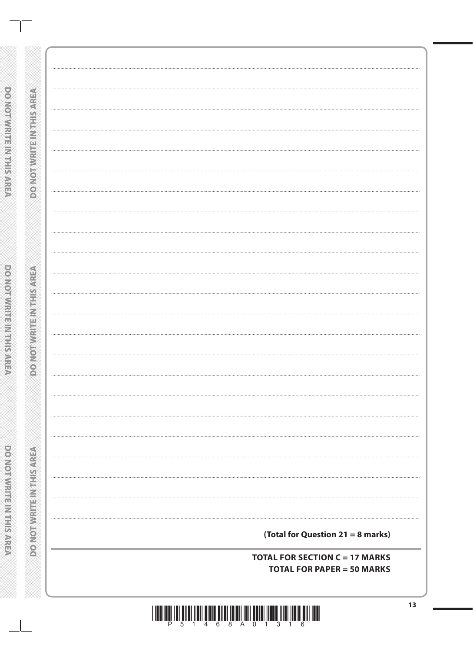| <b>ONOnumental Review</b>    | <b>HISPAREA</b>    |                                                                            |
|------------------------------|--------------------|----------------------------------------------------------------------------|
|                              | <b>DONNOISMIRE</b> |                                                                            |
|                              |                    |                                                                            |
|                              |                    |                                                                            |
|                              | Ö                  |                                                                            |
| <b>PONORMER IN THE SAME</b>  |                    |                                                                            |
|                              | ra<br>O            |                                                                            |
|                              |                    |                                                                            |
| <b>DONOTWRITEIN HIS AREA</b> |                    |                                                                            |
|                              |                    |                                                                            |
|                              |                    | (Total for Question 21 = 8 marks)                                          |
|                              |                    | <b>TOTAL FOR SECTION C = 17 MARKS</b><br><b>TOTAL FOR PAPER = 50 MARKS</b> |

 $\overline{\phantom{a}}$ 

 $\Box$ 

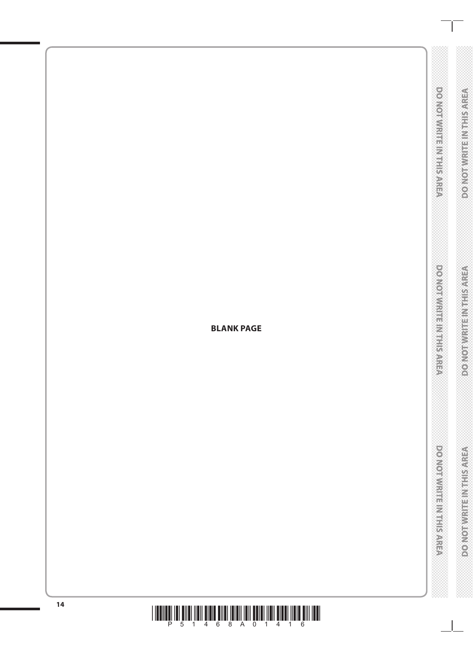**DONOTWRITEINTHISAREA** 

**BLANK PAGE** 

 $\begin{array}{c} \text{array} \\ \text{array} \\ \text{array} \\ \text{array} \end{array} \begin{array}{c} \begin{array}{c} \text{array} \\ \text{array} \\ \text{array} \end{array} \\ \begin{array}{c} \text{array} \\ \text{array} \end{array} \\ \begin{array}{c} \text{array} \\ \text{array} \end{array} \end{array} \begin{array}{c} \begin{array}{c} \text{array} \\ \text{array} \\ \text{array} \end{array} \\ \begin{array}{c} \text{array} \\ \text{array} \end{array} \end{array} \begin{array}{c} \begin{array} \text{array} \\ \text{array} \\ \text{array} \end$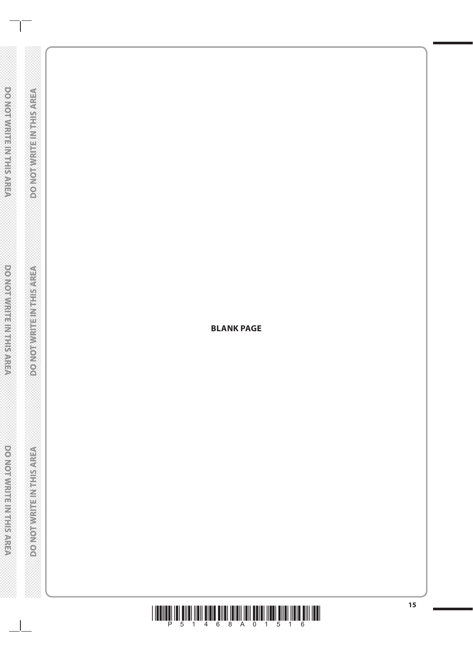$\sim 1$ 

**DO NOTWARE INTHIS AREA** 

**DO NOTAVALE INTERVERS** 

DO NOT WRITE IN THIS AREA

**BLANK PAGE**